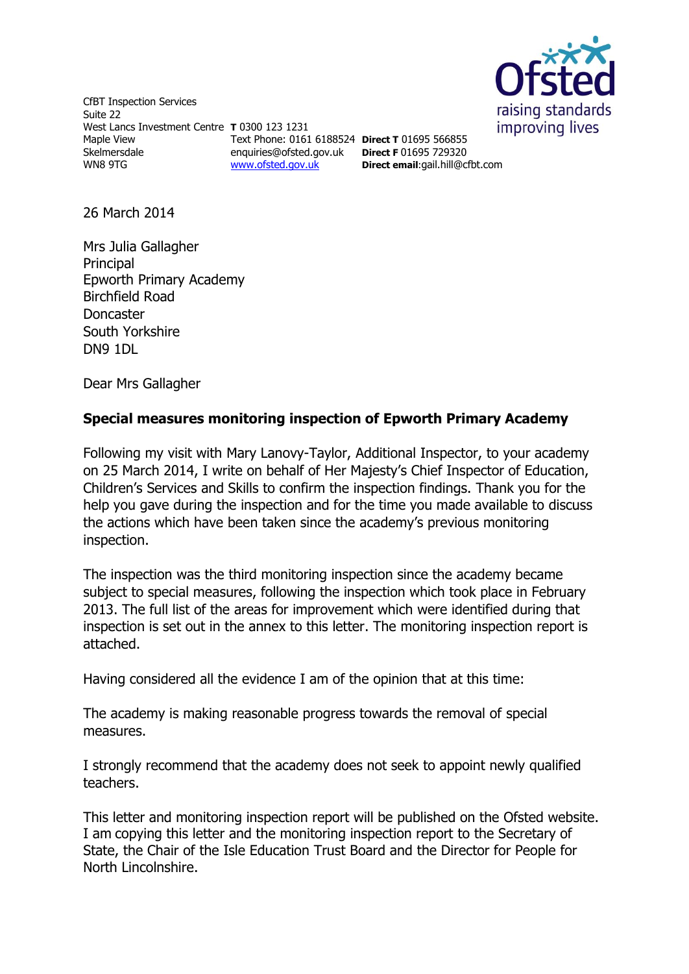

CfBT Inspection Services Suite 22 West Lancs Investment Centre **T** 0300 123 1231 Maple View Skelmersdale WN8 9TG enquiries@ofsted.gov.uk [www.ofsted.gov.uk](http://www.ofsted.gov.uk/)

Text Phone: 0161 6188524 **Direct T** 01695 566855

**Direct F** 01695 729320 **Direct email**:[gail.hill@cfbt.com](../../jsimmons/AppData/Local/Microsoft/Windows/Temporary%20Internet%20Files/Content.IE5/9I204TG8/gail.hill@cfbt.com)

26 March 2014

Mrs Julia Gallagher Principal Epworth Primary Academy Birchfield Road Doncaster South Yorkshire DN9 1DL

Dear Mrs Gallagher

## **Special measures monitoring inspection of Epworth Primary Academy**

Following my visit with Mary Lanovy-Taylor, Additional Inspector, to your academy on 25 March 2014, I write on behalf of Her Majesty's Chief Inspector of Education, Children's Services and Skills to confirm the inspection findings. Thank you for the help you gave during the inspection and for the time you made available to discuss the actions which have been taken since the academy's previous monitoring inspection.

The inspection was the third monitoring inspection since the academy became subject to special measures, following the inspection which took place in February 2013. The full list of the areas for improvement which were identified during that inspection is set out in the annex to this letter. The monitoring inspection report is attached.

Having considered all the evidence I am of the opinion that at this time:

The academy is making reasonable progress towards the removal of special measures.

I strongly recommend that the academy does not seek to appoint newly qualified teachers.

This letter and monitoring inspection report will be published on the Ofsted website. I am copying this letter and the monitoring inspection report to the Secretary of State, the Chair of the Isle Education Trust Board and the Director for People for North Lincolnshire.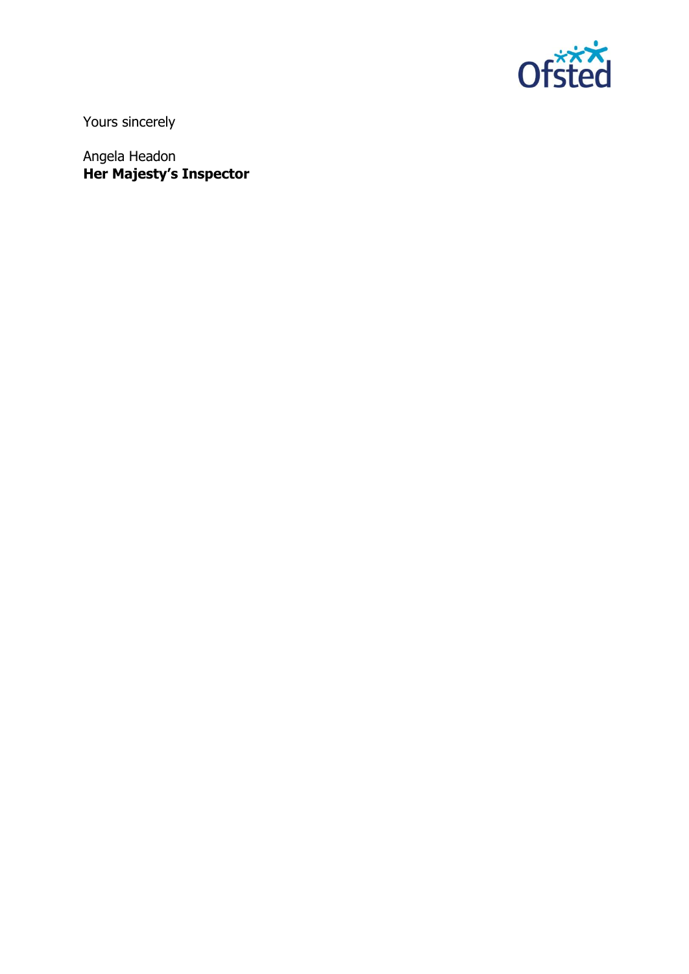

Yours sincerely

Angela Headon **Her Majesty's Inspector**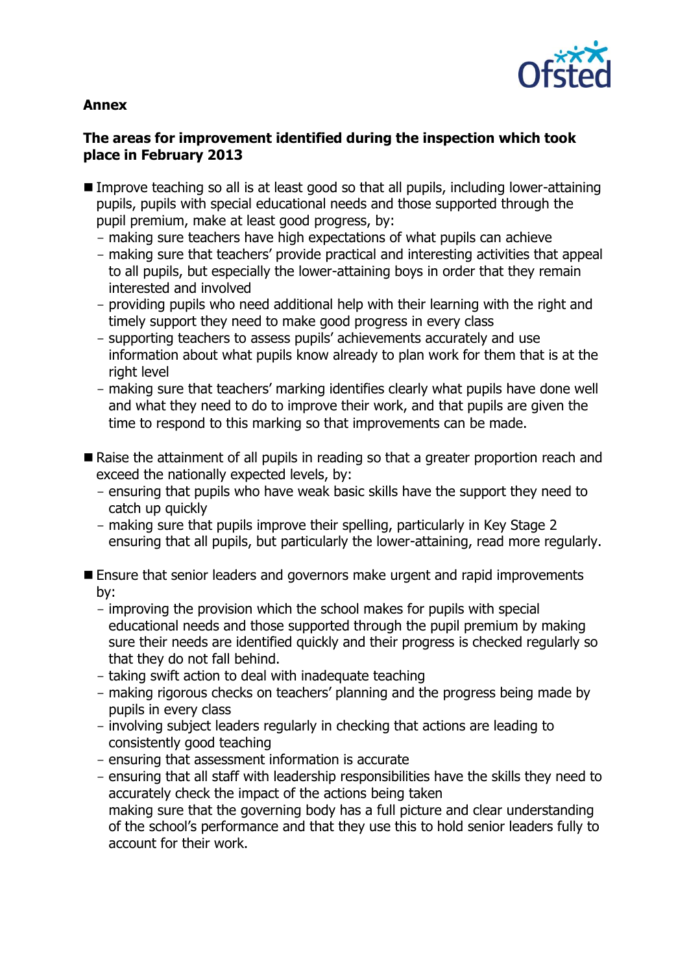

#### **Annex**

#### **The areas for improvement identified during the inspection which took place in February 2013**

- Improve teaching so all is at least good so that all pupils, including lower-attaining pupils, pupils with special educational needs and those supported through the pupil premium, make at least good progress, by:
	- making sure teachers have high expectations of what pupils can achieve
	- making sure that teachers' provide practical and interesting activities that appeal to all pupils, but especially the lower-attaining boys in order that they remain interested and involved
	- providing pupils who need additional help with their learning with the right and timely support they need to make good progress in every class
	- supporting teachers to assess pupils' achievements accurately and use information about what pupils know already to plan work for them that is at the right level
	- making sure that teachers' marking identifies clearly what pupils have done well and what they need to do to improve their work, and that pupils are given the time to respond to this marking so that improvements can be made.
- Raise the attainment of all pupils in reading so that a greater proportion reach and exceed the nationally expected levels, by:
	- ensuring that pupils who have weak basic skills have the support they need to catch up quickly
	- making sure that pupils improve their spelling, particularly in Key Stage 2 ensuring that all pupils, but particularly the lower-attaining, read more regularly.
- **E** Ensure that senior leaders and governors make urgent and rapid improvements by:
	- improving the provision which the school makes for pupils with special educational needs and those supported through the pupil premium by making sure their needs are identified quickly and their progress is checked regularly so that they do not fall behind.
	- taking swift action to deal with inadequate teaching
	- making rigorous checks on teachers' planning and the progress being made by pupils in every class
	- involving subject leaders regularly in checking that actions are leading to consistently good teaching
	- ensuring that assessment information is accurate
	- ensuring that all staff with leadership responsibilities have the skills they need to accurately check the impact of the actions being taken making sure that the governing body has a full picture and clear understanding of the school's performance and that they use this to hold senior leaders fully to account for their work.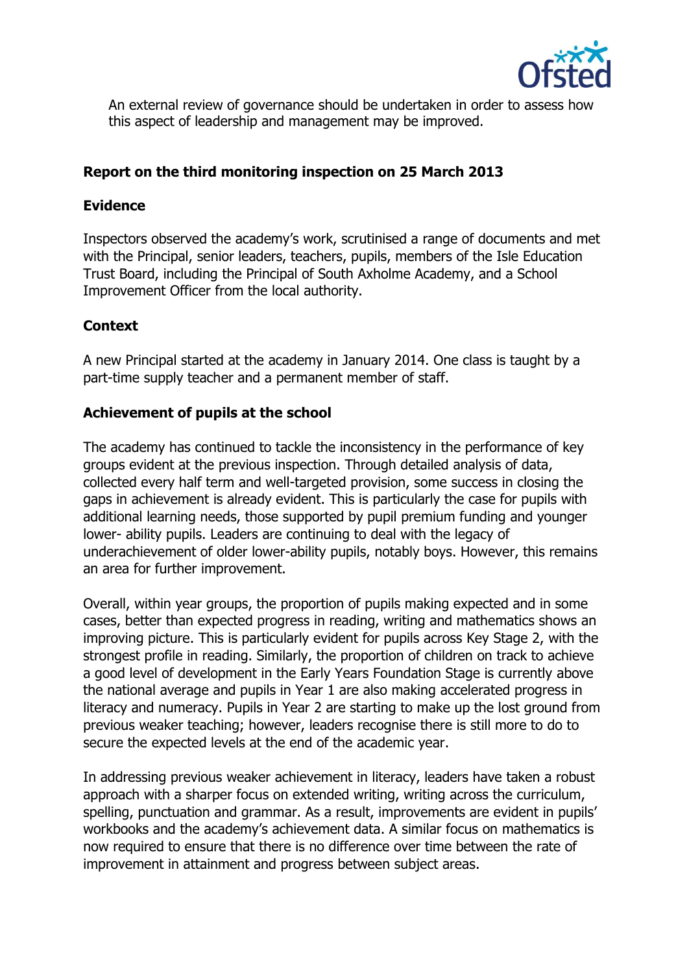

An external review of governance should be undertaken in order to assess how this aspect of leadership and management may be improved.

# **Report on the third monitoring inspection on 25 March 2013**

#### **Evidence**

Inspectors observed the academy's work, scrutinised a range of documents and met with the Principal, senior leaders, teachers, pupils, members of the Isle Education Trust Board, including the Principal of South Axholme Academy, and a School Improvement Officer from the local authority.

## **Context**

A new Principal started at the academy in January 2014. One class is taught by a part-time supply teacher and a permanent member of staff.

## **Achievement of pupils at the school**

The academy has continued to tackle the inconsistency in the performance of key groups evident at the previous inspection. Through detailed analysis of data, collected every half term and well-targeted provision, some success in closing the gaps in achievement is already evident. This is particularly the case for pupils with additional learning needs, those supported by pupil premium funding and younger lower- ability pupils. Leaders are continuing to deal with the legacy of underachievement of older lower-ability pupils, notably boys. However, this remains an area for further improvement.

Overall, within year groups, the proportion of pupils making expected and in some cases, better than expected progress in reading, writing and mathematics shows an improving picture. This is particularly evident for pupils across Key Stage 2, with the strongest profile in reading. Similarly, the proportion of children on track to achieve a good level of development in the Early Years Foundation Stage is currently above the national average and pupils in Year 1 are also making accelerated progress in literacy and numeracy. Pupils in Year 2 are starting to make up the lost ground from previous weaker teaching; however, leaders recognise there is still more to do to secure the expected levels at the end of the academic year.

In addressing previous weaker achievement in literacy, leaders have taken a robust approach with a sharper focus on extended writing, writing across the curriculum, spelling, punctuation and grammar. As a result, improvements are evident in pupils' workbooks and the academy's achievement data. A similar focus on mathematics is now required to ensure that there is no difference over time between the rate of improvement in attainment and progress between subject areas.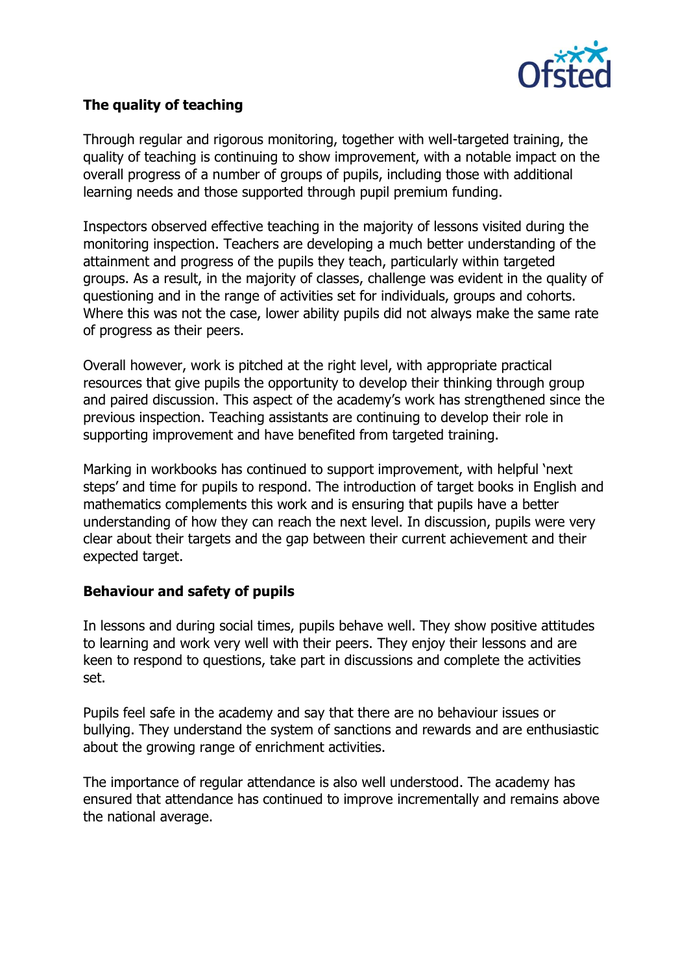

# **The quality of teaching**

Through regular and rigorous monitoring, together with well-targeted training, the quality of teaching is continuing to show improvement, with a notable impact on the overall progress of a number of groups of pupils, including those with additional learning needs and those supported through pupil premium funding.

Inspectors observed effective teaching in the majority of lessons visited during the monitoring inspection. Teachers are developing a much better understanding of the attainment and progress of the pupils they teach, particularly within targeted groups. As a result, in the majority of classes, challenge was evident in the quality of questioning and in the range of activities set for individuals, groups and cohorts. Where this was not the case, lower ability pupils did not always make the same rate of progress as their peers.

Overall however, work is pitched at the right level, with appropriate practical resources that give pupils the opportunity to develop their thinking through group and paired discussion. This aspect of the academy's work has strengthened since the previous inspection. Teaching assistants are continuing to develop their role in supporting improvement and have benefited from targeted training.

Marking in workbooks has continued to support improvement, with helpful 'next steps' and time for pupils to respond. The introduction of target books in English and mathematics complements this work and is ensuring that pupils have a better understanding of how they can reach the next level. In discussion, pupils were very clear about their targets and the gap between their current achievement and their expected target.

## **Behaviour and safety of pupils**

In lessons and during social times, pupils behave well. They show positive attitudes to learning and work very well with their peers. They enjoy their lessons and are keen to respond to questions, take part in discussions and complete the activities set.

Pupils feel safe in the academy and say that there are no behaviour issues or bullying. They understand the system of sanctions and rewards and are enthusiastic about the growing range of enrichment activities.

The importance of regular attendance is also well understood. The academy has ensured that attendance has continued to improve incrementally and remains above the national average.